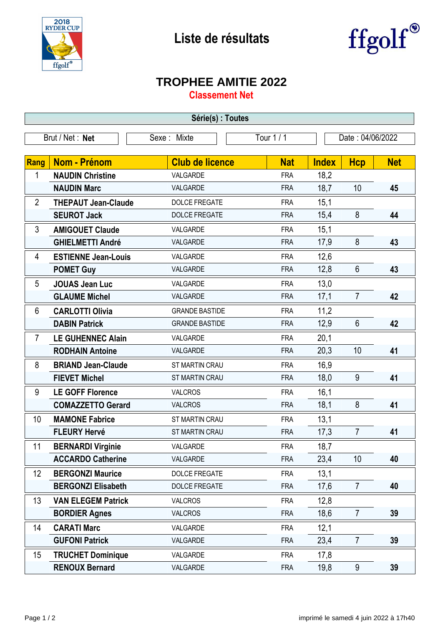

## **Liste de résultats**



## **TROPHEE AMITIE 2022**

**Classement Net**

| Série(s) : Toutes |                            |                        |            |                  |                 |            |  |  |  |
|-------------------|----------------------------|------------------------|------------|------------------|-----------------|------------|--|--|--|
|                   | Brut / Net: Net            | Sexe: Mixte            | Tour 1 / 1 | Date: 04/06/2022 |                 |            |  |  |  |
|                   |                            |                        |            |                  |                 |            |  |  |  |
| <b>Rang</b>       | <b>Nom - Prénom</b>        | <b>Club de licence</b> | <b>Nat</b> | <b>Index</b>     | <b>Hcp</b>      | <b>Net</b> |  |  |  |
| 1                 | <b>NAUDIN Christine</b>    | VALGARDE               | <b>FRA</b> | 18,2             |                 |            |  |  |  |
|                   | <b>NAUDIN Marc</b>         | VALGARDE               | <b>FRA</b> | 18,7             | 10              | 45         |  |  |  |
| $\overline{2}$    | <b>THEPAUT Jean-Claude</b> | <b>DOLCE FREGATE</b>   | <b>FRA</b> | 15,1             |                 |            |  |  |  |
|                   | <b>SEUROT Jack</b>         | <b>DOLCE FREGATE</b>   | <b>FRA</b> | 15,4             | 8               | 44         |  |  |  |
| 3                 | <b>AMIGOUET Claude</b>     | VALGARDE               | <b>FRA</b> | 15,1             |                 |            |  |  |  |
|                   | <b>GHIELMETTI André</b>    | VALGARDE               | <b>FRA</b> | 17,9             | 8               | 43         |  |  |  |
| 4                 | <b>ESTIENNE Jean-Louis</b> | VALGARDE               | <b>FRA</b> | 12,6             |                 |            |  |  |  |
|                   | <b>POMET Guy</b>           | VALGARDE               | <b>FRA</b> | 12,8             | $6\phantom{1}$  | 43         |  |  |  |
| 5                 | <b>JOUAS Jean Luc</b>      | VALGARDE               | <b>FRA</b> | 13,0             |                 |            |  |  |  |
|                   | <b>GLAUME Michel</b>       | VALGARDE               | <b>FRA</b> | 17,1             | $\overline{7}$  | 42         |  |  |  |
| 6                 | <b>CARLOTTI Olivia</b>     | <b>GRANDE BASTIDE</b>  | <b>FRA</b> | 11,2             |                 |            |  |  |  |
|                   | <b>DABIN Patrick</b>       | <b>GRANDE BASTIDE</b>  | <b>FRA</b> | 12,9             | $6\phantom{1}$  | 42         |  |  |  |
| $\overline{7}$    | <b>LE GUHENNEC Alain</b>   | VALGARDE               | <b>FRA</b> | 20,1             |                 |            |  |  |  |
|                   | <b>RODHAIN Antoine</b>     | VALGARDE               | <b>FRA</b> | 20,3             | 10              | 41         |  |  |  |
| 8                 | <b>BRIAND Jean-Claude</b>  | ST MARTIN CRAU         | <b>FRA</b> | 16,9             |                 |            |  |  |  |
|                   | <b>FIEVET Michel</b>       | ST MARTIN CRAU         | <b>FRA</b> | 18,0             | 9               | 41         |  |  |  |
| 9                 | <b>LE GOFF Florence</b>    | <b>VALCROS</b>         | <b>FRA</b> | 16,1             |                 |            |  |  |  |
|                   | <b>COMAZZETTO Gerard</b>   | <b>VALCROS</b>         | <b>FRA</b> | 18,1             | 8               | 41         |  |  |  |
| 10                | <b>MAMONE Fabrice</b>      | ST MARTIN CRAU         | <b>FRA</b> | 13,1             |                 |            |  |  |  |
|                   | <b>FLEURY Hervé</b>        | <b>ST MARTIN CRAU</b>  | <b>FRA</b> | 17,3             | $\overline{7}$  | 41         |  |  |  |
| 11                | <b>BERNARDI Virginie</b>   | VALGARDE               | <b>FRA</b> | 18,7             |                 |            |  |  |  |
|                   | <b>ACCARDO Catherine</b>   | VALGARDE               | <b>FRA</b> | 23,4             | 10 <sup>1</sup> | 40         |  |  |  |
| 12                | <b>BERGONZI Maurice</b>    | <b>DOLCE FREGATE</b>   | <b>FRA</b> | 13,1             |                 |            |  |  |  |
|                   | <b>BERGONZI Elisabeth</b>  | <b>DOLCE FREGATE</b>   | <b>FRA</b> | 17,6             | $\overline{7}$  | 40         |  |  |  |
| 13                | <b>VAN ELEGEM Patrick</b>  | <b>VALCROS</b>         | <b>FRA</b> | 12,8             |                 |            |  |  |  |
|                   | <b>BORDIER Agnes</b>       | <b>VALCROS</b>         | <b>FRA</b> | 18,6             | $\overline{7}$  | 39         |  |  |  |
| 14                | <b>CARATI Marc</b>         | VALGARDE               | <b>FRA</b> | 12,1             |                 |            |  |  |  |
|                   | <b>GUFONI Patrick</b>      | VALGARDE               | <b>FRA</b> | 23,4             | $\overline{7}$  | 39         |  |  |  |
| 15                | <b>TRUCHET Dominique</b>   | VALGARDE               | <b>FRA</b> | 17,8             |                 |            |  |  |  |
|                   | <b>RENOUX Bernard</b>      | VALGARDE               | <b>FRA</b> | 19,8             | 9               | 39         |  |  |  |